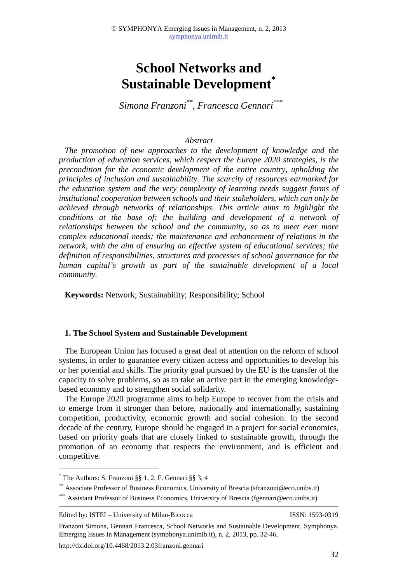# **School Networks and Sustainable Development\***

*Simona Franzoni\*\*, Francesca Gennari\*\*\**

## *Abstract*

*The promotion of new approaches to the development of knowledge and the production of education services, which respect the Europe 2020 strategies, is the precondition for the economic development of the entire country, upholding the principles of inclusion and sustainability. The scarcity of resources earmarked for the education system and the very complexity of learning needs suggest forms of institutional cooperation between schools and their stakeholders, which can only be achieved through networks of relationships. This article aims to highlight the conditions at the base of: the building and development of a network of relationships between the school and the community, so as to meet ever more complex educational needs; the maintenance and enhancement of relations in the network, with the aim of ensuring an effective system of educational services; the definition of responsibilities, structures and processes of school governance for the human capital's growth as part of the sustainable development of a local community.* 

**Keywords:** Network; Sustainability; Responsibility; School

#### **1. The School System and Sustainable Development**

The European Union has focused a great deal of attention on the reform of school systems, in order to guarantee every citizen access and opportunities to develop his or her potential and skills. The priority goal pursued by the EU is the transfer of the capacity to solve problems, so as to take an active part in the emerging knowledgebased economy and to strengthen social solidarity.

The Europe 2020 programme aims to help Europe to recover from the crisis and to emerge from it stronger than before, nationally and internationally, sustaining competition, productivity, economic growth and social cohesion. In the second decade of the century, Europe should be engaged in a project for social economics, based on priority goals that are closely linked to sustainable growth, through the promotion of an economy that respects the environment, and is efficient and competitive.

Edited by: ISTEI – University of Milan-Bicocca ISSN: 1593-0319

 $\overline{a}$ 

http://dx.doi.org/10.4468/2013.2.03franzoni.gennari

<sup>\*</sup> The Authors: S. Franzoni §§ 1, 2, F. Gennari §§ 3, 4

<sup>\*\*</sup> Associate Professor of Business Economics, University of Brescia (sfranzoni@eco.unibs.it)

<sup>\*\*\*</sup> Assistant Professor of Business Economics, University of Brescia (fgennari@eco.unibs.it)

Franzoni Simona, Gennari Francesca, School Networks and Sustainable Development, Symphonya. Emerging Issues in Management (symphonya.unimib.it), n. 2, 2013, pp. 32-46.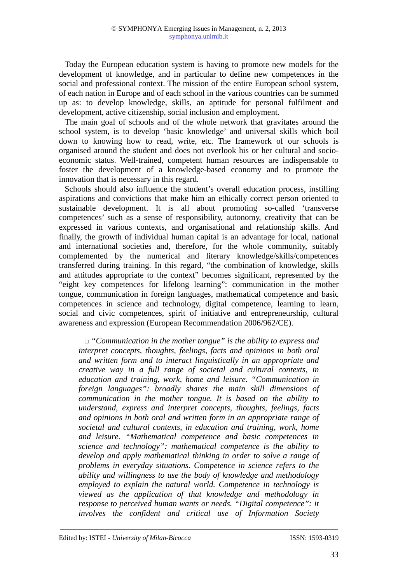Today the European education system is having to promote new models for the development of knowledge, and in particular to define new competences in the social and professional context. The mission of the entire European school system, of each nation in Europe and of each school in the various countries can be summed up as: to develop knowledge, skills, an aptitude for personal fulfilment and development, active citizenship, social inclusion and employment.

The main goal of schools and of the whole network that gravitates around the school system, is to develop 'basic knowledge' and universal skills which boil down to knowing how to read, write, etc. The framework of our schools is organised around the student and does not overlook his or her cultural and socioeconomic status. Well-trained, competent human resources are indispensable to foster the development of a knowledge-based economy and to promote the innovation that is necessary in this regard.

Schools should also influence the student's overall education process, instilling aspirations and convictions that make him an ethically correct person oriented to sustainable development. It is all about promoting so-called 'transverse competences' such as a sense of responsibility, autonomy, creativity that can be expressed in various contexts, and organisational and relationship skills. And finally, the growth of individual human capital is an advantage for local, national and international societies and, therefore, for the whole community, suitably complemented by the numerical and literary knowledge/skills/competences transferred during training. In this regard, "the combination of knowledge, skills and attitudes appropriate to the context" becomes significant, represented by the "eight key competences for lifelong learning": communication in the mother tongue, communication in foreign languages, mathematical competence and basic competences in science and technology, digital competence, learning to learn, social and civic competences, spirit of initiative and entrepreneurship, cultural awareness and expression (European Recommendation 2006/962/CE).

□ *"Communication in the mother tongue" is the ability to express and interpret concepts, thoughts, feelings, facts and opinions in both oral and written form and to interact linguistically in an appropriate and creative way in a full range of societal and cultural contexts, in education and training, work, home and leisure. "Communication in foreign languages": broadly shares the main skill dimensions of communication in the mother tongue. It is based on the ability to understand, express and interpret concepts, thoughts, feelings, facts and opinions in both oral and written form in an appropriate range of societal and cultural contexts, in education and training, work, home and leisure. "Mathematical competence and basic competences in science and technology": mathematical competence is the ability to develop and apply mathematical thinking in order to solve a range of problems in everyday situations. Competence in science refers to the ability and willingness to use the body of knowledge and methodology employed to explain the natural world. Competence in technology is viewed as the application of that knowledge and methodology in response to perceived human wants or needs. "Digital competence": it involves the confident and critical use of Information Society*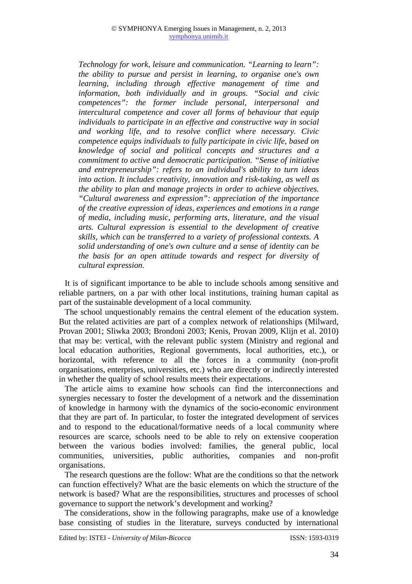*Technology for work, leisure and communication. "Learning to learn": the ability to pursue and persist in learning, to organise one's own learning, including through effective management of time and information, both individually and in groups. "Social and civic competences": the former include personal, interpersonal and intercultural competence and cover all forms of behaviour that equip individuals to participate in an effective and constructive way in social and working life, and to resolve conflict where necessary. Civic competence equips individuals to fully participate in civic life, based on knowledge of social and political concepts and structures and a commitment to active and democratic participation. "Sense of initiative and entrepreneurship": refers to an individual's ability to turn ideas into action. It includes creativity, innovation and risk-taking, as well as the ability to plan and manage projects in order to achieve objectives. "Cultural awareness and expression": appreciation of the importance of the creative expression of ideas, experiences and emotions in a range of media, including music, performing arts, literature, and the visual arts. Cultural expression is essential to the development of creative skills, which can be transferred to a variety of professional contexts. A solid understanding of one's own culture and a sense of identity can be the basis for an open attitude towards and respect for diversity of cultural expression.* 

It is of significant importance to be able to include schools among sensitive and reliable partners, on a par with other local institutions, training human capital as part of the sustainable development of a local community.

The school unquestionably remains the central element of the education system. But the related activities are part of a complex network of relationships (Milward, Provan 2001; Sliwka 2003; Brondoni 2003; Kenis, Provan 2009, Klijn et al. 2010) that may be: vertical, with the relevant public system (Ministry and regional and local education authorities, Regional governments, local authorities, etc.), or horizontal, with reference to all the forces in a community (non-profit organisations, enterprises, universities, etc.) who are directly or indirectly interested in whether the quality of school results meets their expectations.

The article aims to examine how schools can find the interconnections and synergies necessary to foster the development of a network and the dissemination of knowledge in harmony with the dynamics of the socio-economic environment that they are part of. In particular, to foster the integrated development of services and to respond to the educational/formative needs of a local community where resources are scarce, schools need to be able to rely on extensive cooperation between the various bodies involved: families, the general public, local communities, universities, public authorities, companies and non-profit organisations.

The research questions are the follow: What are the conditions so that the network can function effectively? What are the basic elements on which the structure of the network is based? What are the responsibilities, structures and processes of school governance to support the network's development and working?

The considerations, show in the following paragraphs, make use of a knowledge base consisting of studies in the literature, surveys conducted by international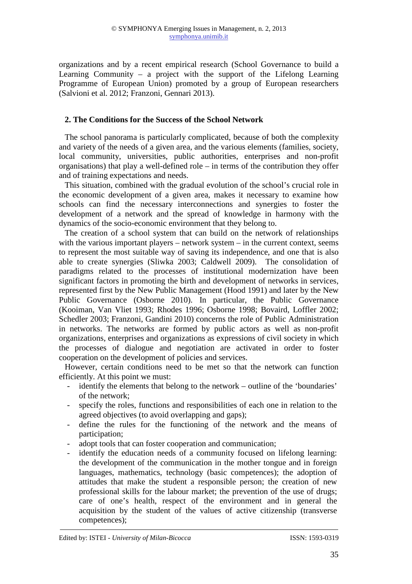organizations and by a recent empirical research (School Governance to build a Learning Community – a project with the support of the Lifelong Learning Programme of European Union) promoted by a group of European researchers (Salvioni et al. 2012; Franzoni, Gennari 2013).

# **2. The Conditions for the Success of the School Network**

The school panorama is particularly complicated, because of both the complexity and variety of the needs of a given area, and the various elements (families, society, local community, universities, public authorities, enterprises and non-profit organisations) that play a well-defined role – in terms of the contribution they offer and of training expectations and needs.

This situation, combined with the gradual evolution of the school's crucial role in the economic development of a given area, makes it necessary to examine how schools can find the necessary interconnections and synergies to foster the development of a network and the spread of knowledge in harmony with the dynamics of the socio-economic environment that they belong to.

The creation of a school system that can build on the network of relationships with the various important players – network system – in the current context, seems to represent the most suitable way of saving its independence, and one that is also able to create synergies (Sliwka 2003; Caldwell 2009). The consolidation of paradigms related to the processes of institutional modernization have been significant factors in promoting the birth and development of networks in services, represented first by the New Public Management (Hood 1991) and later by the New Public Governance (Osborne 2010). In particular, the Public Governance (Kooiman, Van Vliet 1993; Rhodes 1996; Osborne 1998; Bovaird, Loffler 2002; Schedler 2003; Franzoni, Gandini 2010) concerns the role of Public Administration in networks. The networks are formed by public actors as well as non-profit organizations, enterprises and organizations as expressions of civil society in which the processes of dialogue and negotiation are activated in order to foster cooperation on the development of policies and services.

However, certain conditions need to be met so that the network can function efficiently. At this point we must:

- identify the elements that belong to the network outline of the 'boundaries' of the network;
- specify the roles, functions and responsibilities of each one in relation to the agreed objectives (to avoid overlapping and gaps);
- define the rules for the functioning of the network and the means of participation;
- adopt tools that can foster cooperation and communication;
- identify the education needs of a community focused on lifelong learning: the development of the communication in the mother tongue and in foreign languages, mathematics, technology (basic competences); the adoption of attitudes that make the student a responsible person; the creation of new professional skills for the labour market; the prevention of the use of drugs; care of one's health, respect of the environment and in general the acquisition by the student of the values of active citizenship (transverse competences);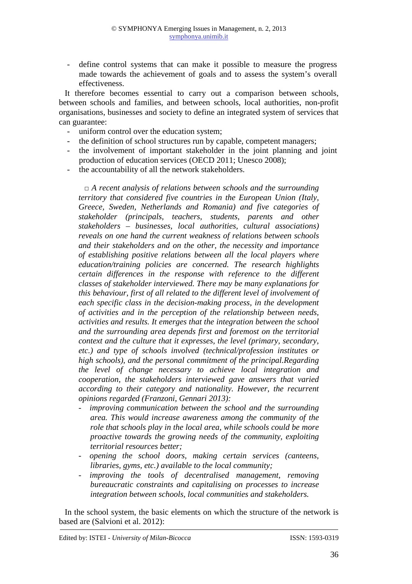- define control systems that can make it possible to measure the progress made towards the achievement of goals and to assess the system's overall effectiveness.

It therefore becomes essential to carry out a comparison between schools, between schools and families, and between schools, local authorities, non-profit organisations, businesses and society to define an integrated system of services that can guarantee:

- uniform control over the education system;
- the definition of school structures run by capable, competent managers;
- the involvement of important stakeholder in the joint planning and joint production of education services (OECD 2011; Unesco 2008);
- the accountability of all the network stakeholders.

□ *A recent analysis of relations between schools and the surrounding territory that considered five countries in the European Union (Italy, Greece, Sweden, Netherlands and Romania) and five categories of stakeholder (principals, teachers, students, parents and other stakeholders – businesses, local authorities, cultural associations) reveals on one hand the current weakness of relations between schools and their stakeholders and on the other, the necessity and importance of establishing positive relations between all the local players where education/training policies are concerned. The research highlights certain differences in the response with reference to the different classes of stakeholder interviewed. There may be many explanations for this behaviour, first of all related to the different level of involvement of each specific class in the decision-making process, in the development of activities and in the perception of the relationship between needs, activities and results. It emerges that the integration between the school and the surrounding area depends first and foremost on the territorial context and the culture that it expresses, the level (primary, secondary, etc.) and type of schools involved (technical/profession institutes or high schools), and the personal commitment of the principal.Regarding the level of change necessary to achieve local integration and cooperation, the stakeholders interviewed gave answers that varied according to their category and nationality. However, the recurrent opinions regarded (Franzoni, Gennari 2013):* 

- - *improving communication between the school and the surrounding area. This would increase awareness among the community of the role that schools play in the local area, while schools could be more proactive towards the growing needs of the community, exploiting territorial resources better;*
- - *opening the school doors, making certain services (canteens, libraries, gyms, etc.) available to the local community;*
- - *improving the tools of decentralised management, removing bureaucratic constraints and capitalising on processes to increase integration between schools, local communities and stakeholders.*

In the school system, the basic elements on which the structure of the network is based are (Salvioni et al. 2012):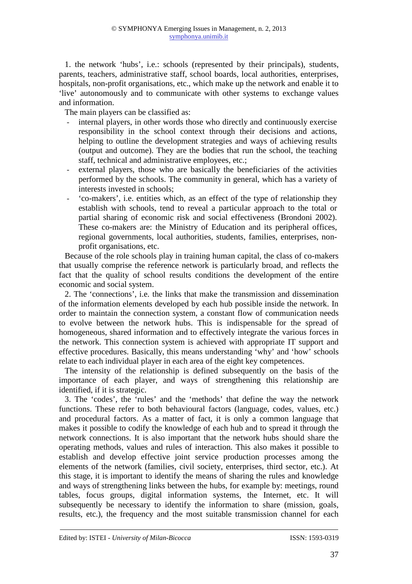1. the network 'hubs', i.e.: schools (represented by their principals), students, parents, teachers, administrative staff, school boards, local authorities, enterprises, hospitals, non-profit organisations, etc., which make up the network and enable it to 'live' autonomously and to communicate with other systems to exchange values and information.

The main players can be classified as:

- internal players, in other words those who directly and continuously exercise responsibility in the school context through their decisions and actions, helping to outline the development strategies and ways of achieving results (output and outcome). They are the bodies that run the school, the teaching staff, technical and administrative employees, etc.;
- external players, those who are basically the beneficiaries of the activities performed by the schools. The community in general, which has a variety of interests invested in schools;
- 'co-makers', i.e. entities which, as an effect of the type of relationship they establish with schools, tend to reveal a particular approach to the total or partial sharing of economic risk and social effectiveness (Brondoni 2002). These co-makers are: the Ministry of Education and its peripheral offices, regional governments, local authorities, students, families, enterprises, nonprofit organisations, etc.

Because of the role schools play in training human capital, the class of co-makers that usually comprise the reference network is particularly broad, and reflects the fact that the quality of school results conditions the development of the entire economic and social system.

2. The 'connections', i.e. the links that make the transmission and dissemination of the information elements developed by each hub possible inside the network. In order to maintain the connection system, a constant flow of communication needs to evolve between the network hubs. This is indispensable for the spread of homogeneous, shared information and to effectively integrate the various forces in the network. This connection system is achieved with appropriate IT support and effective procedures. Basically, this means understanding 'why' and 'how' schools relate to each individual player in each area of the eight key competences.

The intensity of the relationship is defined subsequently on the basis of the importance of each player, and ways of strengthening this relationship are identified, if it is strategic.

3. The 'codes', the 'rules' and the 'methods' that define the way the network functions. These refer to both behavioural factors (language, codes, values, etc.) and procedural factors. As a matter of fact, it is only a common language that makes it possible to codify the knowledge of each hub and to spread it through the network connections. It is also important that the network hubs should share the operating methods, values and rules of interaction. This also makes it possible to establish and develop effective joint service production processes among the elements of the network (families, civil society, enterprises, third sector, etc.). At this stage, it is important to identify the means of sharing the rules and knowledge and ways of strengthening links between the hubs, for example by: meetings, round tables, focus groups, digital information systems, the Internet, etc. It will subsequently be necessary to identify the information to share (mission, goals, results, etc.), the frequency and the most suitable transmission channel for each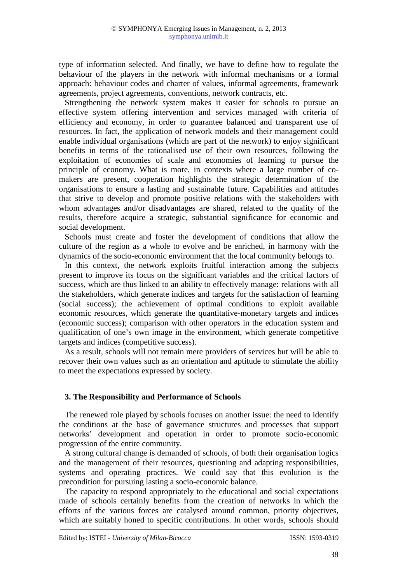type of information selected. And finally, we have to define how to regulate the behaviour of the players in the network with informal mechanisms or a formal approach: behaviour codes and charter of values, informal agreements, framework agreements, project agreements, conventions, network contracts, etc.

Strengthening the network system makes it easier for schools to pursue an effective system offering intervention and services managed with criteria of efficiency and economy, in order to guarantee balanced and transparent use of resources. In fact, the application of network models and their management could enable individual organisations (which are part of the network) to enjoy significant benefits in terms of the rationalised use of their own resources, following the exploitation of economies of scale and economies of learning to pursue the principle of economy. What is more, in contexts where a large number of comakers are present, cooperation highlights the strategic determination of the organisations to ensure a lasting and sustainable future. Capabilities and attitudes that strive to develop and promote positive relations with the stakeholders with whom advantages and/or disadvantages are shared, related to the quality of the results, therefore acquire a strategic, substantial significance for economic and social development.

Schools must create and foster the development of conditions that allow the culture of the region as a whole to evolve and be enriched, in harmony with the dynamics of the socio-economic environment that the local community belongs to.

In this context, the network exploits fruitful interaction among the subjects present to improve its focus on the significant variables and the critical factors of success, which are thus linked to an ability to effectively manage: relations with all the stakeholders, which generate indices and targets for the satisfaction of learning (social success); the achievement of optimal conditions to exploit available economic resources, which generate the quantitative-monetary targets and indices (economic success); comparison with other operators in the education system and qualification of one's own image in the environment, which generate competitive targets and indices (competitive success).

As a result, schools will not remain mere providers of services but will be able to recover their own values such as an orientation and aptitude to stimulate the ability to meet the expectations expressed by society.

# **3. The Responsibility and Performance of Schools**

The renewed role played by schools focuses on another issue: the need to identify the conditions at the base of governance structures and processes that support networks' development and operation in order to promote socio-economic progression of the entire community.

A strong cultural change is demanded of schools, of both their organisation logics and the management of their resources, questioning and adapting responsibilities, systems and operating practices. We could say that this evolution is the precondition for pursuing lasting a socio-economic balance.

The capacity to respond appropriately to the educational and social expectations made of schools certainly benefits from the creation of networks in which the efforts of the various forces are catalysed around common, priority objectives, which are suitably honed to specific contributions. In other words, schools should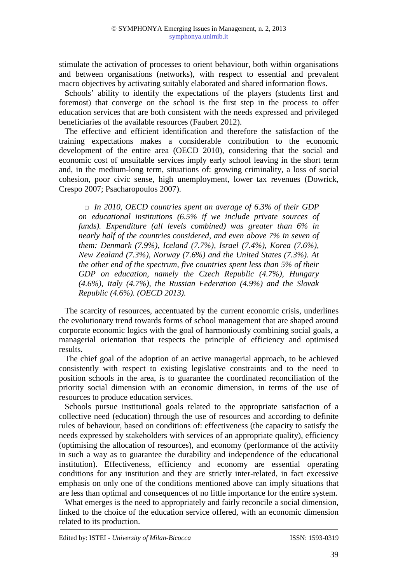stimulate the activation of processes to orient behaviour, both within organisations and between organisations (networks), with respect to essential and prevalent macro objectives by activating suitably elaborated and shared information flows.

Schools' ability to identify the expectations of the players (students first and foremost) that converge on the school is the first step in the process to offer education services that are both consistent with the needs expressed and privileged beneficiaries of the available resources (Faubert 2012).

The effective and efficient identification and therefore the satisfaction of the training expectations makes a considerable contribution to the economic development of the entire area (OECD 2010), considering that the social and economic cost of unsuitable services imply early school leaving in the short term and, in the medium-long term, situations of: growing criminality, a loss of social cohesion, poor civic sense, high unemployment, lower tax revenues (Dowrick, Crespo 2007; Psacharopoulos 2007).

□ *In 2010, OECD countries spent an average of 6.3% of their GDP on educational institutions (6.5% if we include private sources of funds). Expenditure (all levels combined) was greater than 6% in nearly half of the countries considered, and even above 7% in seven of them: Denmark (7.9%), Iceland (7.7%), Israel (7.4%), Korea (7.6%), New Zealand (7.3%), Norway (7.6%) and the United States (7.3%). At the other end of the spectrum, five countries spent less than 5% of their GDP on education, namely the Czech Republic (4.7%), Hungary (4.6%), Italy (4.7%), the Russian Federation (4.9%) and the Slovak Republic (4.6%). (OECD 2013).* 

The scarcity of resources, accentuated by the current economic crisis, underlines the evolutionary trend towards forms of school management that are shaped around corporate economic logics with the goal of harmoniously combining social goals, a managerial orientation that respects the principle of efficiency and optimised results.

The chief goal of the adoption of an active managerial approach, to be achieved consistently with respect to existing legislative constraints and to the need to position schools in the area, is to guarantee the coordinated reconciliation of the priority social dimension with an economic dimension, in terms of the use of resources to produce education services.

Schools pursue institutional goals related to the appropriate satisfaction of a collective need (education) through the use of resources and according to definite rules of behaviour, based on conditions of: effectiveness (the capacity to satisfy the needs expressed by stakeholders with services of an appropriate quality), efficiency (optimising the allocation of resources), and economy (performance of the activity in such a way as to guarantee the durability and independence of the educational institution). Effectiveness, efficiency and economy are essential operating conditions for any institution and they are strictly inter-related, in fact excessive emphasis on only one of the conditions mentioned above can imply situations that are less than optimal and consequences of no little importance for the entire system.

What emerges is the need to appropriately and fairly reconcile a social dimension, linked to the choice of the education service offered, with an economic dimension related to its production.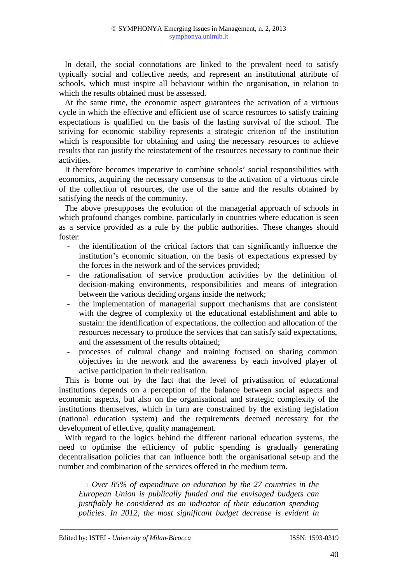In detail, the social connotations are linked to the prevalent need to satisfy typically social and collective needs, and represent an institutional attribute of schools, which must inspire all behaviour within the organisation, in relation to which the results obtained must be assessed.

At the same time, the economic aspect guarantees the activation of a virtuous cycle in which the effective and efficient use of scarce resources to satisfy training expectations is qualified on the basis of the lasting survival of the school. The striving for economic stability represents a strategic criterion of the institution which is responsible for obtaining and using the necessary resources to achieve results that can justify the reinstatement of the resources necessary to continue their activities.

It therefore becomes imperative to combine schools' social responsibilities with economics, acquiring the necessary consensus to the activation of a virtuous circle of the collection of resources, the use of the same and the results obtained by satisfying the needs of the community.

The above presupposes the evolution of the managerial approach of schools in which profound changes combine, particularly in countries where education is seen as a service provided as a rule by the public authorities. These changes should foster:

- the identification of the critical factors that can significantly influence the institution's economic situation, on the basis of expectations expressed by the forces in the network and of the services provided;
- the rationalisation of service production activities by the definition of decision-making environments, responsibilities and means of integration between the various deciding organs inside the network;
- the implementation of managerial support mechanisms that are consistent with the degree of complexity of the educational establishment and able to sustain: the identification of expectations, the collection and allocation of the resources necessary to produce the services that can satisfy said expectations, and the assessment of the results obtained;
- processes of cultural change and training focused on sharing common objectives in the network and the awareness by each involved player of active participation in their realisation.

This is borne out by the fact that the level of privatisation of educational institutions depends on a perception of the balance between social aspects and economic aspects, but also on the organisational and strategic complexity of the institutions themselves, which in turn are constrained by the existing legislation (national education system) and the requirements deemed necessary for the development of effective, quality management.

With regard to the logics behind the different national education systems, the need to optimise the efficiency of public spending is gradually generating decentralisation policies that can influence both the organisational set-up and the number and combination of the services offered in the medium term.

□ *Over 85% of expenditure on education by the 27 countries in the European Union is publically funded and the envisaged budgets can justifiably be considered as an indicator of their education spending policies. In 2012, the most significant budget decrease is evident in*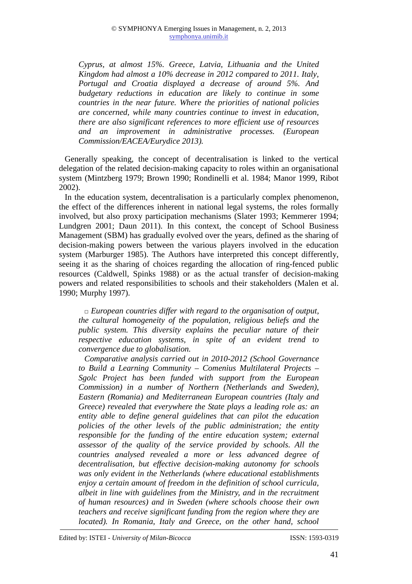*Cyprus, at almost 15%. Greece, Latvia, Lithuania and the United Kingdom had almost a 10% decrease in 2012 compared to 2011. Italy, Portugal and Croatia displayed a decrease of around 5%. And budgetary reductions in education are likely to continue in some countries in the near future. Where the priorities of national policies are concerned, while many countries continue to invest in education, there are also significant references to more efficient use of resources and an improvement in administrative processes. (European Commission/EACEA/Eurydice 2013).* 

Generally speaking, the concept of decentralisation is linked to the vertical delegation of the related decision-making capacity to roles within an organisational system (Mintzberg 1979; Brown 1990; Rondinelli et al. 1984; Manor 1999, Ribot 2002).

In the education system, decentralisation is a particularly complex phenomenon, the effect of the differences inherent in national legal systems, the roles formally involved, but also proxy participation mechanisms (Slater 1993; Kemmerer 1994; Lundgren 2001; Daun 2011). In this context, the concept of School Business Management (SBM) has gradually evolved over the years, defined as the sharing of decision-making powers between the various players involved in the education system (Marburger 1985). The Authors have interpreted this concept differently, seeing it as the sharing of choices regarding the allocation of ring-fenced public resources (Caldwell, Spinks 1988) or as the actual transfer of decision-making powers and related responsibilities to schools and their stakeholders (Malen et al. 1990; Murphy 1997).

□ *European countries differ with regard to the organisation of output, the cultural homogeneity of the population, religious beliefs and the public system. This diversity explains the peculiar nature of their respective education systems, in spite of an evident trend to convergence due to globalisation.* 

*Comparative analysis carried out in 2010-2012 (School Governance to Build a Learning Community – Comenius Multilateral Projects – Sgolc Project has been funded with support from the European Commission) in a number of Northern (Netherlands and Sweden), Eastern (Romania) and Mediterranean European countries (Italy and Greece) revealed that everywhere the State plays a leading role as: an entity able to define general guidelines that can pilot the education policies of the other levels of the public administration; the entity responsible for the funding of the entire education system; external assessor of the quality of the service provided by schools. All the countries analysed revealed a more or less advanced degree of decentralisation, but effective decision-making autonomy for schools was only evident in the Netherlands (where educational establishments enjoy a certain amount of freedom in the definition of school curricula, albeit in line with guidelines from the Ministry, and in the recruitment of human resources) and in Sweden (where schools choose their own teachers and receive significant funding from the region where they are located*). In Romania, Italy and Greece, on the other hand, school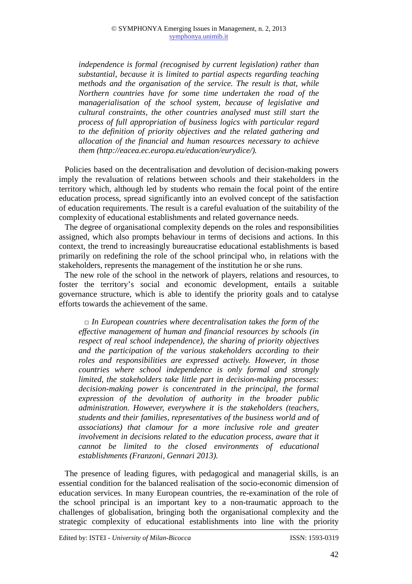*independence is formal (recognised by current legislation) rather than substantial, because it is limited to partial aspects regarding teaching methods and the organisation of the service. The result is that, while Northern countries have for some time undertaken the road of the managerialisation of the school system, because of legislative and cultural constraints, the other countries analysed must still start the process of full appropriation of business logics with particular regard to the definition of priority objectives and the related gathering and allocation of the financial and human resources necessary to achieve them (http://eacea.ec.europa.eu/education/eurydice/).* 

Policies based on the decentralisation and devolution of decision-making powers imply the revaluation of relations between schools and their stakeholders in the territory which, although led by students who remain the focal point of the entire education process, spread significantly into an evolved concept of the satisfaction of education requirements. The result is a careful evaluation of the suitability of the complexity of educational establishments and related governance needs.

The degree of organisational complexity depends on the roles and responsibilities assigned, which also prompts behaviour in terms of decisions and actions. In this context, the trend to increasingly bureaucratise educational establishments is based primarily on redefining the role of the school principal who, in relations with the stakeholders, represents the management of the institution he or she runs.

The new role of the school in the network of players, relations and resources, to foster the territory's social and economic development, entails a suitable governance structure, which is able to identify the priority goals and to catalyse efforts towards the achievement of the same.

□ *In European countries where decentralisation takes the form of the effective management of human and financial resources by schools (in respect of real school independence), the sharing of priority objectives and the participation of the various stakeholders according to their roles and responsibilities are expressed actively. However, in those countries where school independence is only formal and strongly limited, the stakeholders take little part in decision-making processes: decision-making power is concentrated in the principal, the formal expression of the devolution of authority in the broader public administration. However, everywhere it is the stakeholders (teachers, students and their families, representatives of the business world and of associations) that clamour for a more inclusive role and greater involvement in decisions related to the education process, aware that it cannot be limited to the closed environments of educational establishments (Franzoni, Gennari 2013).* 

The presence of leading figures, with pedagogical and managerial skills, is an essential condition for the balanced realisation of the socio-economic dimension of education services. In many European countries, the re-examination of the role of the school principal is an important key to a non-traumatic approach to the challenges of globalisation, bringing both the organisational complexity and the strategic complexity of educational establishments into line with the priority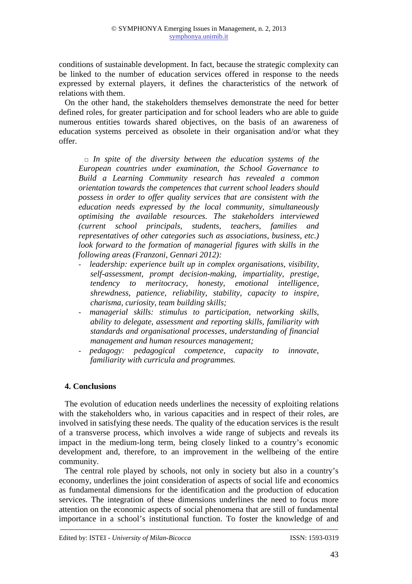conditions of sustainable development. In fact, because the strategic complexity can be linked to the number of education services offered in response to the needs expressed by external players, it defines the characteristics of the network of relations with them.

On the other hand, the stakeholders themselves demonstrate the need for better defined roles, for greater participation and for school leaders who are able to guide numerous entities towards shared objectives, on the basis of an awareness of education systems perceived as obsolete in their organisation and/or what they offer.

□ *In spite of the diversity between the education systems of the European countries under examination, the School Governance to Build a Learning Community research has revealed a common orientation towards the competences that current school leaders should possess in order to offer quality services that are consistent with the education needs expressed by the local community, simultaneously optimising the available resources. The stakeholders interviewed (current school principals, students, teachers, families and representatives of other categories such as associations, business, etc.) look forward to the formation of managerial figures with skills in the following areas (Franzoni, Gennari 2012):* 

- - *leadership: experience built up in complex organisations, visibility, self-assessment, prompt decision-making, impartiality, prestige, tendency to meritocracy, honesty, emotional intelligence, shrewdness, patience, reliability, stability, capacity to inspire, charisma, curiosity, team building skills;*
- - *managerial skills: stimulus to participation, networking skills, ability to delegate, assessment and reporting skills, familiarity with standards and organisational processes, understanding of financial management and human resources management;*
- - *pedagogy: pedagogical competence, capacity to innovate, familiarity with curricula and programmes.*

# **4. Conclusions**

The evolution of education needs underlines the necessity of exploiting relations with the stakeholders who, in various capacities and in respect of their roles, are involved in satisfying these needs. The quality of the education services is the result of a transverse process, which involves a wide range of subjects and reveals its impact in the medium-long term, being closely linked to a country's economic development and, therefore, to an improvement in the wellbeing of the entire community.

The central role played by schools, not only in society but also in a country's economy, underlines the joint consideration of aspects of social life and economics as fundamental dimensions for the identification and the production of education services. The integration of these dimensions underlines the need to focus more attention on the economic aspects of social phenomena that are still of fundamental importance in a school's institutional function. To foster the knowledge of and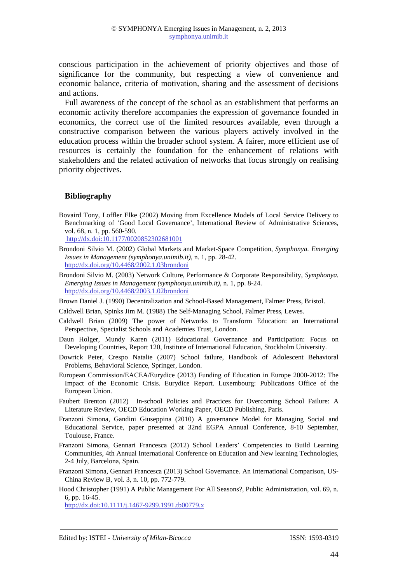conscious participation in the achievement of priority objectives and those of significance for the community, but respecting a view of convenience and economic balance, criteria of motivation, sharing and the assessment of decisions and actions.

Full awareness of the concept of the school as an establishment that performs an economic activity therefore accompanies the expression of governance founded in economics, the correct use of the limited resources available, even through a constructive comparison between the various players actively involved in the education process within the broader school system. A fairer, more efficient use of resources is certainly the foundation for the enhancement of relations with stakeholders and the related activation of networks that focus strongly on realising priority objectives.

### **Bibliography**

Bovaird Tony, Loffler Elke (2002) Moving from Excellence Models of Local Service Delivery to Benchmarking of 'Good Local Governance', International Review of Administrative Sciences, vol. 68, n. 1, pp. 560-590.

http://dx.doi:10.1177/0020852302681001

- Brondoni Silvio M. (2002) Global Markets and Market-Space Competition, *Symphonya. Emerging Issues in Management (symphonya.unimib.it)*, n. 1, pp. 28-42. http://dx.doi.org/10.4468/2002.1.03brondoni
- Brondoni Silvio M. (2003) Network Culture, Performance & Corporate Responsibility, *Symphonya. Emerging Issues in Management (symphonya.unimib.it),* n. 1, pp. 8-24. http://dx.doi.org/10.4468/2003.1.02brondoni

Brown Daniel J. (1990) Decentralization and School-Based Management, Falmer Press, Bristol.

- Caldwell Brian, Spinks Jim M. (1988) The Self-Managing School, Falmer Press, Lewes.
- Caldwell Brian (2009) The power of Networks to Transform Education: an International Perspective, Specialist Schools and Academies Trust, London.
- Daun Holger, Mundy Karen (2011) Educational Governance and Participation: Focus on Developing Countries, Report 120, Institute of International Education, Stockholm University.
- Dowrick Peter, Crespo Natalie (2007) School failure, Handbook of Adolescent Behavioral Problems, Behavioral Science, Springer, London.
- European Commission/EACEA/Eurydice (2013) Funding of Education in Europe 2000-2012: The Impact of the Economic Crisis. Eurydice Report. Luxembourg: Publications Office of the European Union.
- Faubert Brenton (2012) In-school Policies and Practices for Overcoming School Failure: A Literature Review, OECD Education Working Paper, OECD Publishing, Paris.
- Franzoni Simona, Gandini Giuseppina (2010) A governance Model for Managing Social and Educational Service, paper presented at 32nd EGPA Annual Conference, 8-10 September, Toulouse, France.
- Franzoni Simona, Gennari Francesca (2012) School Leaders' Competencies to Build Learning Communities, 4th Annual International Conference on Education and New learning Technologies, 2-4 July, Barcelona, Spain.
- Franzoni Simona, Gennari Francesca (2013) School Governance. An International Comparison, US-China Review B, vol. 3, n. 10, pp. 772-779.
- Hood Christopher (1991) A Public Management For All Seasons?, Public Administration, vol. 69, n. 6, pp. 16-45.

http://dx.doi:10.1111/j.1467-9299.1991.tb00779.x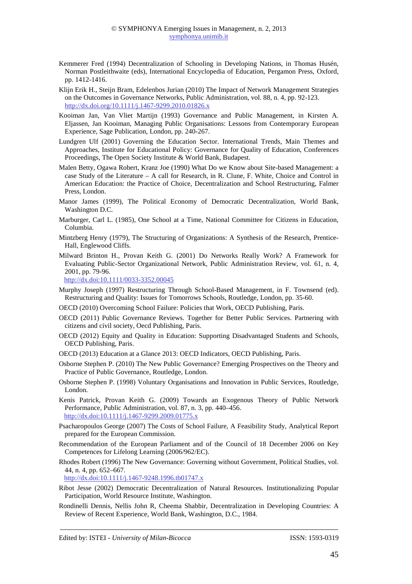- Kemmerer Fred (1994) Decentralization of Schooling in Developing Nations, in Thomas Husén, Norman Postleithwaite (eds), International Encyclopedia of Education, Pergamon Press, Oxford, pp. 1412-1416.
- Klijn Erik H., Steijn Bram, Edelenbos Jurian (2010) The Impact of Network Management Strategies on the Outcomes in Governance Networks, Public Administration, vol. 88, n. 4, pp. 92-123. http://dx.doi.org/10.1111/j.1467-9299.2010.01826.x
- Kooiman Jan, Van Vliet Martijn (1993) Governance and Public Management, in Kirsten A. Eljassen, Jan Kooiman, Managing Public Organisations: Lessons from Contemporary European Experience, Sage Publication, London, pp. 240-267.
- Lundgren Ulf (2001) Governing the Education Sector. International Trends, Main Themes and Approaches, Institute for Educational Policy: Governance for Quality of Education, Conferences Proceedings, The Open Society Institute & World Bank, Budapest.
- Malen Betty, Ogawa Robert, Kranz Joe (1990) What Do we Know about Site-based Management: a case Study of the Literature – A call for Research, in R. Clune, F. White, Choice and Control in American Education: the Practice of Choice, Decentralization and School Restructuring, Falmer Press, London.
- Manor James (1999), The Political Economy of Democratic Decentralization, World Bank, Washington D.C.
- Marburger, Carl L. (1985), One School at a Time, National Committee for Citizens in Education, Columbia.
- Mintzberg Henry (1979), The Structuring of Organizations: A Synthesis of the Research, Prentice-Hall, Englewood Cliffs.
- Milward Brinton H., Provan Keith G. (2001) Do Networks Really Work? A Framework for Evaluating Public-Sector Organizational Network, Public Administration Review, vol. 61, n. 4, 2001, pp. 79-96.

http://dx.doi:10.1111/0033-3352.00045

- Murphy Joseph (1997) Restructuring Through School-Based Management, in F. Townsend (ed). Restructuring and Quality: Issues for Tomorrows Schools, Routledge, London, pp. 35-60.
- OECD (2010) Overcoming School Failure: Policies that Work, OECD Publishing, Paris.
- OECD (2011) Public Governance Reviews. Together for Better Public Services. Partnering with citizens and civil society, Oecd Publishing, Paris.
- OECD (2012) Equity and Quality in Education: Supporting Disadvantaged Students and Schools, OECD Publishing, Paris.
- OECD (2013) Education at a Glance 2013: OECD Indicators, OECD Publishing, Paris.
- Osborne Stephen P. (2010) The New Public Governance? Emerging Prospectives on the Theory and Practice of Public Governance, Routledge, London.
- Osborne Stephen P. (1998) Voluntary Organisations and Innovation in Public Services, Routledge, London.
- Kenis Patrick, Provan Keith G. (2009) Towards an Exogenous Theory of Public Network Performance, Public Administration, vol. 87, n. 3, pp. 440–456. http://dx.doi:10.1111/j.1467-9299.2009.01775.x
- Psacharopoulos George (2007) The Costs of School Failure, A Feasibility Study, Analytical Report prepared for the European Commission.
- Recommendation of the European Parliament and of the Council of 18 December 2006 on Key Competences for Lifelong Learning (2006/962/EC).
- Rhodes Robert (1996) The New Governance: Governing without Government, Political Studies, vol. 44, n. 4, pp. 652–667.

http://dx.doi:10.1111/j.1467-9248.1996.tb01747.x

- Ribot Jesse (2002) Democratic Decentralization of Natural Resources. Institutionalizing Popular Participation, World Resource Institute, Washington.
- Rondinelli Dennis, Nellis John R, Cheema Shabbir, Decentralization in Developing Countries: A Review of Recent Experience, World Bank, Washington, D.C., 1984.